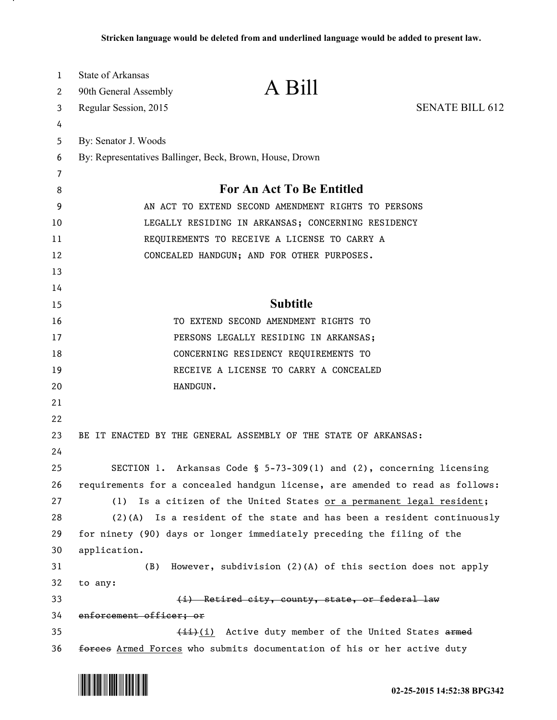| $\mathbf 1$ | State of Arkansas                                                             |                                                                         |                        |  |
|-------------|-------------------------------------------------------------------------------|-------------------------------------------------------------------------|------------------------|--|
| 2           | 90th General Assembly                                                         | A Bill                                                                  |                        |  |
| 3           | Regular Session, 2015                                                         |                                                                         | <b>SENATE BILL 612</b> |  |
| 4           |                                                                               |                                                                         |                        |  |
| 5           | By: Senator J. Woods                                                          |                                                                         |                        |  |
| 6           | By: Representatives Ballinger, Beck, Brown, House, Drown                      |                                                                         |                        |  |
| 7           |                                                                               |                                                                         |                        |  |
| 8           | <b>For An Act To Be Entitled</b>                                              |                                                                         |                        |  |
| 9           | AN ACT TO EXTEND SECOND AMENDMENT RIGHTS TO PERSONS                           |                                                                         |                        |  |
| 10          | LEGALLY RESIDING IN ARKANSAS; CONCERNING RESIDENCY                            |                                                                         |                        |  |
| 11          |                                                                               | REQUIREMENTS TO RECEIVE A LICENSE TO CARRY A                            |                        |  |
| 12          | CONCEALED HANDGUN; AND FOR OTHER PURPOSES.                                    |                                                                         |                        |  |
| 13          |                                                                               |                                                                         |                        |  |
| 14          |                                                                               |                                                                         |                        |  |
| 15          |                                                                               | <b>Subtitle</b>                                                         |                        |  |
| 16          |                                                                               | TO EXTEND SECOND AMENDMENT RIGHTS TO                                    |                        |  |
| 17          | PERSONS LEGALLY RESIDING IN ARKANSAS;                                         |                                                                         |                        |  |
| 18          | CONCERNING RESIDENCY REQUIREMENTS TO                                          |                                                                         |                        |  |
| 19          |                                                                               | RECEIVE A LICENSE TO CARRY A CONCEALED                                  |                        |  |
| 20          | HANDGUN.                                                                      |                                                                         |                        |  |
| 21          |                                                                               |                                                                         |                        |  |
| 22          |                                                                               |                                                                         |                        |  |
| 23          | BE IT ENACTED BY THE GENERAL ASSEMBLY OF THE STATE OF ARKANSAS:               |                                                                         |                        |  |
| 24          |                                                                               |                                                                         |                        |  |
| 25          |                                                                               | SECTION 1. Arkansas Code § 5-73-309(1) and (2), concerning licensing    |                        |  |
| 26          | requirements for a concealed handgun license, are amended to read as follows: |                                                                         |                        |  |
| 27          |                                                                               | (1) Is a citizen of the United States or a permanent legal resident;    |                        |  |
| 28          | $(2)(A)$ Is a resident of the state and has been a resident continuously      |                                                                         |                        |  |
| 29          |                                                                               | for ninety (90) days or longer immediately preceding the filing of the  |                        |  |
| 30          | application.                                                                  |                                                                         |                        |  |
| 31          | (B)                                                                           | However, subdivision (2)(A) of this section does not apply              |                        |  |
| 32          | to any:                                                                       |                                                                         |                        |  |
| 33          | (i) Retired city, county, state, or federal law                               |                                                                         |                        |  |
| 34          | enforcement officer; or                                                       |                                                                         |                        |  |
| 35          | (ii) (i) Active duty member of the United States armed                        |                                                                         |                        |  |
| 36          |                                                                               | forces Armed Forces who submits documentation of his or her active duty |                        |  |